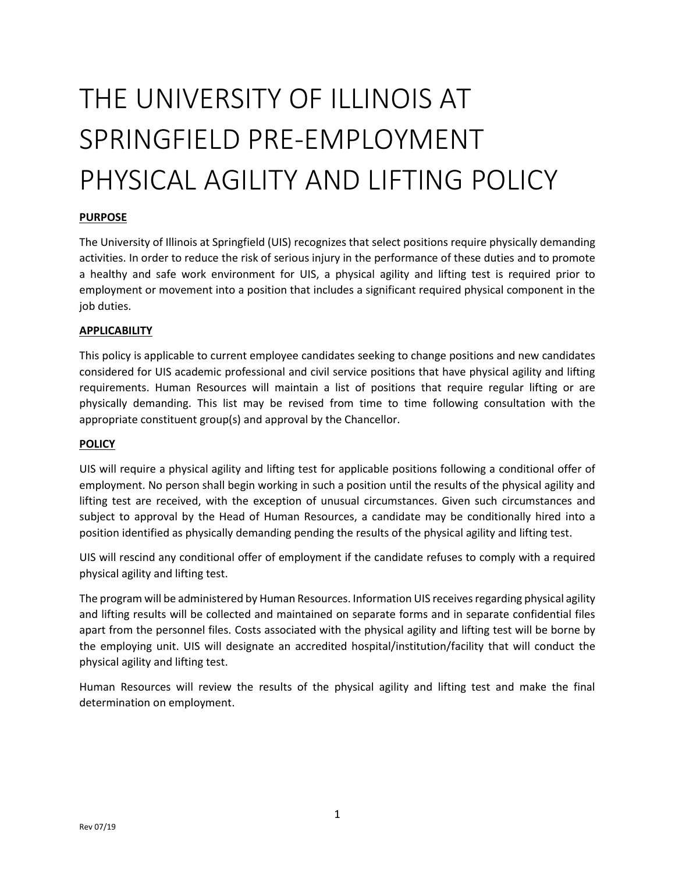# THE UNIVERSITY OF ILLINOIS AT SPRINGFIELD PRE-EMPLOYMENT PHYSICAL AGILITY AND LIFTING POLICY

# **PURPOSE**

The University of Illinois at Springfield (UIS) recognizes that select positions require physically demanding activities. In order to reduce the risk of serious injury in the performance of these duties and to promote a healthy and safe work environment for UIS, a physical agility and lifting test is required prior to employment or movement into a position that includes a significant required physical component in the job duties.

## **APPLICABILITY**

This policy is applicable to current employee candidates seeking to change positions and new candidates considered for UIS academic professional and civil service positions that have physical agility and lifting requirements. Human Resources will maintain a list of positions that require regular lifting or are physically demanding. This list may be revised from time to time following consultation with the appropriate constituent group(s) and approval by the Chancellor.

### **POLICY**

UIS will require a physical agility and lifting test for applicable positions following a conditional offer of employment. No person shall begin working in such a position until the results of the physical agility and lifting test are received, with the exception of unusual circumstances. Given such circumstances and subject to approval by the Head of Human Resources, a candidate may be conditionally hired into a position identified as physically demanding pending the results of the physical agility and lifting test.

UIS will rescind any conditional offer of employment if the candidate refuses to comply with a required physical agility and lifting test.

The program will be administered by Human Resources. Information UIS receives regarding physical agility and lifting results will be collected and maintained on separate forms and in separate confidential files apart from the personnel files. Costs associated with the physical agility and lifting test will be borne by the employing unit. UIS will designate an accredited hospital/institution/facility that will conduct the physical agility and lifting test.

Human Resources will review the results of the physical agility and lifting test and make the final determination on employment.